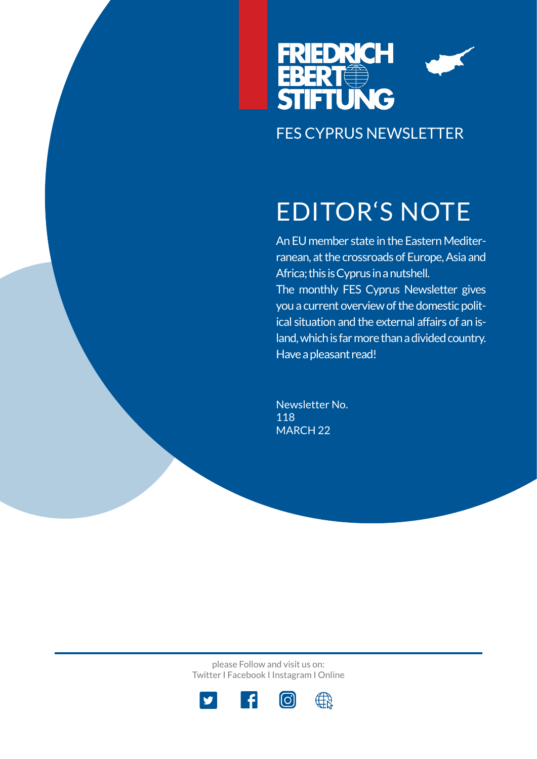

# EDITOR'S NOTE

An EU member state in the Eastern Mediterranean, at the crossroads of Europe, Asia and Africa; this is Cyprus in a nutshell. The monthly FES Cyprus Newsletter gives you a current overview of the domestic political situation and the external affairs of an island, which is far more than a divided country. Have a pleasant read!

Newsletter No. 118 MARCH 22

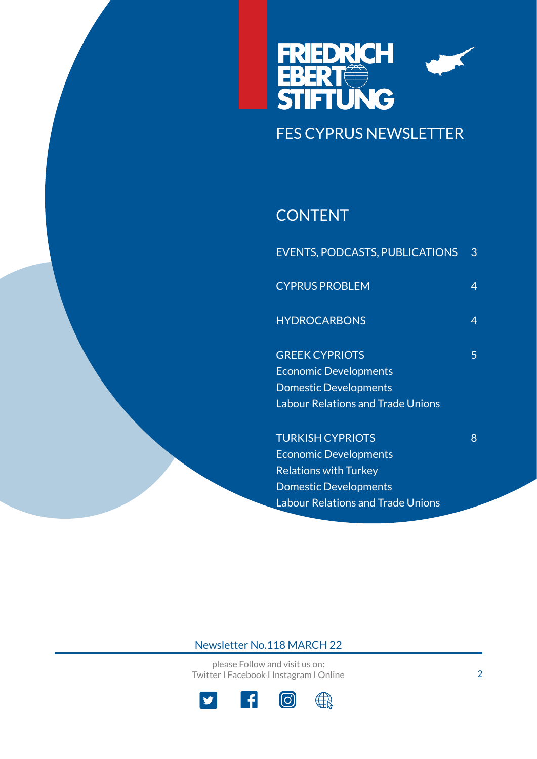

## **CONTENT**

| <b>EVENTS, PODCASTS, PUBLICATIONS</b>    | 3 |
|------------------------------------------|---|
| <b>CYPRUS PROBLEM</b>                    | 4 |
| <b>HYDROCARBONS</b>                      | 4 |
| <b>GREEK CYPRIOTS</b>                    | 5 |
| <b>Economic Developments</b>             |   |
| <b>Domestic Developments</b>             |   |
| <b>Labour Relations and Trade Unions</b> |   |
| <b>TURKISH CYPRIOTS</b>                  | 8 |
| <b>Economic Developments</b>             |   |
| <b>Relations with Turkey</b>             |   |
| <b>Domestic Developments</b>             |   |

Labour Relations and Trade Unions

## Newsletter No.118 MARCH 22

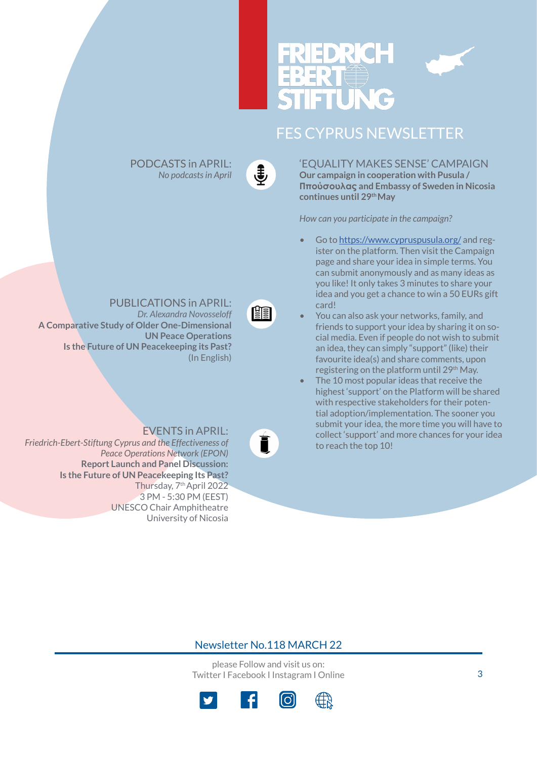

€

PODCASTS in APRIL: *No podcasts in April*

阐

PUBLICATIONS in APRIL:

*Dr. Alexandra Novosseloff* **A Comparative Study of Older One-Dimensiona[l](https://www.fescyprus.org/publications/)  UN Peace Operations Is the Future of UN Peacekeeping its Past?** (In English)

EVENTS in APRIL: *Friedrich-Ebert-Stiftung Cyprus and the Effectiveness of Peace Operations Network (EPON)*  **Report Launch and Panel Discussion: Is the Future of UN Peacekeeping Its Past?** Thursday, 7th April 2022 3 PM - 5:30 PM (EEST[\)](https://www.fescyprus.org/events/)  UNESCO Chair Amphitheatre University of Nicosia

## **Our campaign in cooperation with Pusula / Ππούσουλας and Embassy of Sweden in Nicosia continues until 29th May**

'EQUALITY MAKES SENSE' CAMPAIGN

*How can you participate in the campaign?*

- Go to https://www.cypruspusula.org/ and register on the platform. Then visit the Campaign page and share your idea in simple terms. You can submit anonymously and as many ideas as you like! It only takes 3 minutes to share your idea and you get a chance to win a 50 EURs gift card!
- You can also ask your networks, family, and friends to support your idea by sharing it on social media. Even if people do not wish to submit an idea, they can simply "support" (like) their favourite idea(s) and share comments, upon registering on the platform until 29<sup>th</sup> May.
- The 10 most popular ideas that receive the highest 'support' on the Platform will be shared with respective stakeholders for their potential adoption/implementation. The sooner you submit your idea, the more time you will have to collect 'support' and more chances for your idea to reach the top 10!

## Newsletter No.118 MARCH 22

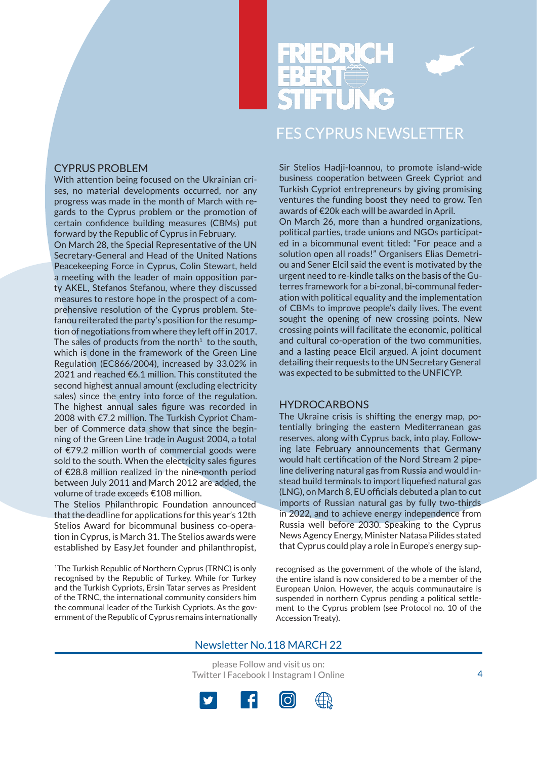

## CYPRUS PROBLEM

With attention being focused on the Ukrainian crises, no material developments occurred, nor any progress was made in the month of March with regards to the Cyprus problem or the promotion of certain confidence building measures (CBMs) put forward by the Republic of Cyprus in February.

On March 28, the Special Representative of the UN Secretary-General and Head of the United Nations Peacekeeping Force in Cyprus, Colin Stewart, held a meeting with the leader of main opposition party AKEL, Stefanos Stefanou, where they discussed measures to restore hope in the prospect of a comprehensive resolution of the Cyprus problem. Stefanou reiterated the party's position for the resumption of negotiations from where they left off in 2017. The sales of products from the north<sup>1</sup> to the south, which is done in the framework of the Green Line Regulation (EC866/2004), increased by 33.02% in 2021 and reached €6.1 million. This constituted the second highest annual amount (excluding electricity sales) since the entry into force of the regulation. The highest annual sales figure was recorded in 2008 with €7.2 million. The Turkish Cypriot Chamber of Commerce data show that since the beginning of the Green Line trade in August 2004, a total of €79.2 million worth of commercial goods were sold to the south. When the electricity sales figures of €28.8 million realized in the nine-month period between July 2011 and March 2012 are added, the volume of trade exceeds €108 million.

The Stelios Philanthropic Foundation announced that the deadline for applications for this year's 12th Stelios Award for bicommunal business co-operation in Cyprus, is March 31. The Stelios awards were established by EasyJet founder and philanthropist,

1The Turkish Republic of Northern Cyprus (TRNC) is only recognised by the Republic of Turkey. While for Turkey and the Turkish Cypriots, Ersin Tatar serves as President of the TRNC, the international community considers him the communal leader of the Turkish Cypriots. As the government of the Republic of Cyprus remains internationally Sir Stelios Hadji-Ioannou, to promote island-wide business cooperation between Greek Cypriot and Turkish Cypriot entrepreneurs by giving promising ventures the funding boost they need to grow. Ten awards of €20k each will be awarded in April. On March 26, more than a hundred organizations,

political parties, trade unions and NGOs participated in a bicommunal event titled: "For peace and a solution open all roads!" Organisers Elias Demetriou and Sener Elcil said the event is motivated by the urgent need to re-kindle talks on the basis of the Guterres framework for a bi-zonal, bi-communal federation with political equality and the implementation of CBMs to improve people's daily lives. The event sought the opening of new crossing points. New crossing points will facilitate the economic, political and cultural co-operation of the two communities, and a lasting peace Elcil argued. A joint document detailing their requests to the UN Secretary General was expected to be submitted to the UNFICYP.

### **HYDROCARBONS**

The Ukraine crisis is shifting the energy map, potentially bringing the eastern Mediterranean gas reserves, along with Cyprus back, into play. Following late February announcements that Germany would halt certification of the Nord Stream 2 pipeline delivering natural gas from Russia and would instead build terminals to import liquefied natural gas (LNG), on March 8, EU officials debuted a plan to cut imports of Russian natural gas by fully two-thirds in 2022, and to achieve energy independence from Russia well before 2030. Speaking to the Cyprus News Agency Energy, Minister Natasa Pilides stated that Cyprus could play a role in Europe's energy sup-

recognised as the government of the whole of the island, the entire island is now considered to be a member of the European Union. However, the acquis communautaire is suspended in northern Cyprus pending a political settlement to the Cyprus problem (see Protocol no. 10 of the Accession Treaty).

## Newsletter No.118 MARCH 22

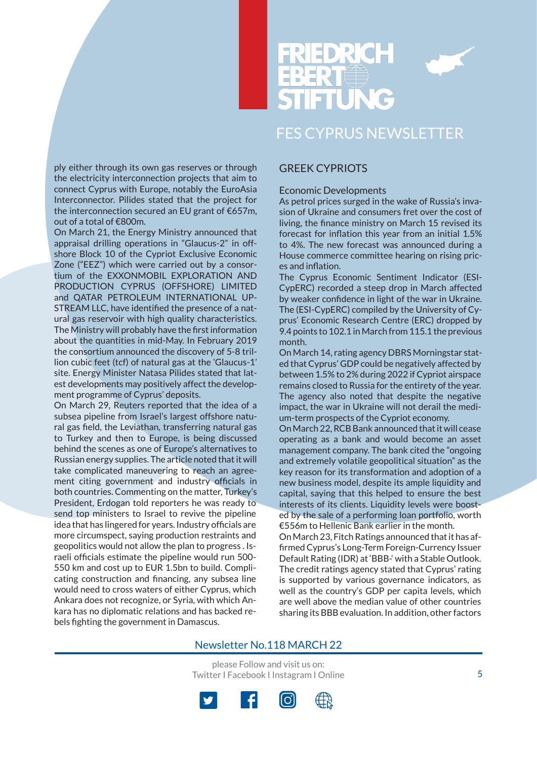

ply either through its own gas reserves or through the electricity interconnection projects that aim to connect Cyprus with Europe, notably the EuroAsia Interconnector. Pilides stated that the project for the interconnection secured an EU grant of €657m, out of a total of €800m.

On March 21, the Energy Ministry announced that appraisal drilling operations in "Glaucus-2" in offshore Block 10 of the Cypriot Exclusive Economic Zone ("EEZ") which were carried out by a consortium of the EXXONMOBIL EXPLORATION AND PRODUCTION CYPRUS (OFFSHORE) LIMITED and QATAR PETROLEUM INTERNATIONAL UP-STREAM LLC, have identified the presence of a natural gas reservoir with high quality characteristics. The Ministry will probably have the first information about the quantities in mid-May. In February 2019 the consortium announced the discovery of 5-8 trillion cubic feet (tcf) of natural gas at the 'Glaucus-1' site. Energy Minister Natasa Pilides stated that latest developments may positively affect the development programme of Cyprus' deposits.

On March 29, Reuters reported that the idea of a subsea pipeline from Israel's largest offshore natural gas field, the Leviathan, transferring natural gas to Turkey and then to Europe, is being discussed behind the scenes as one of Europe's alternatives to Russian energy supplies. The article noted that it will take complicated maneuvering to reach an agreement citing government and industry officials in both countries. Commenting on the matter, Turkey's President, Erdogan told reporters he was ready to send top ministers to Israel to revive the pipeline idea that has lingered for years. Industry officials are more circumspect, saying production restraints and geopolitics would not allow the plan to progress . Israeli officials estimate the pipeline would run 500- 550 km and cost up to EUR 1.5bn to build. Complicating construction and financing, any subsea line would need to cross waters of either Cyprus, which Ankara does not recognize, or Syria, with which Ankara has no diplomatic relations and has backed rebels fighting the government in Damascus.

## GREEK CYPRIOTS

### Economic Developments

As petrol prices surged in the wake of Russia's invasion of Ukraine and consumers fret over the cost of living, the finance ministry on March 15 revised its forecast for inflation this year from an initial 1.5% to 4%. The new forecast was announced during a House commerce committee hearing on rising prices and inflation.

The Cyprus Economic Sentiment Indicator (ESI-CypERC) recorded a steep drop in March affected by weaker confidence in light of the war in Ukraine. The (ESI-CypERC) compiled by the University of Cyprus' Economic Research Centre (ERC) dropped by 9.4 points to 102.1 in March from 115.1 the previous month.

On March 14, rating agency DBRS Morningstar stated that Cyprus' GDP could be negatively affected by between 1.5% to 2% during 2022 if Cypriot airspace remains closed to Russia for the entirety of the year. The agency also noted that despite the negative impact, the war in Ukraine will not derail the medium-term prospects of the Cypriot economy.

On March 22, RCB Bank announced that it will cease operating as a bank and would become an asset management company. The bank cited the "ongoing and extremely volatile geopolitical situation" as the key reason for its transformation and adoption of a new business model, despite its ample liquidity and capital, saying that this helped to ensure the best interests of its clients. Liquidity levels were boosted by the sale of a performing loan portfolio, worth €556m to Hellenic Bank earlier in the month.

On March 23, Fitch Ratings announced that it has affirmed Cyprus's Long-Term Foreign-Currency Issuer Default Rating (IDR) at 'BBB-' with a Stable Outlook. The credit ratings agency stated that Cyprus' rating is supported by various governance indicators, as well as the country's GDP per capita levels, which are well above the median value of other countries sharing its BBB evaluation. In addition, other factors

### Newsletter No.118 MARCH 22

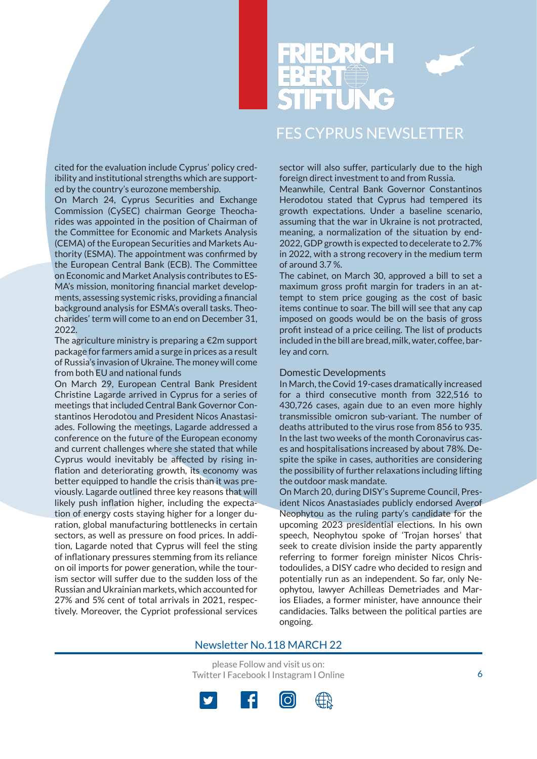



cited for the evaluation include Cyprus' policy credibility and institutional strengths which are supported by the country's eurozone membership.

On March 24, Cyprus Securities and Exchange Commission (CySEC) chairman George Theocharides was appointed in the position of Chairman of the Committee for Economic and Markets Analysis (CEMA) of the European Securities and Markets Authority (ESMA). The appointment was confirmed by the European Central Bank (ECB). The Committee on Economic and Market Analysis contributes to ES-MA's mission, monitoring financial market developments, assessing systemic risks, providing a financial background analysis for ESMA's overall tasks. Theocharides' term will come to an end on December 31, 2022.

The agriculture ministry is preparing a  $\epsilon$ 2m support package for farmers amid a surge in prices as a result of Russia's invasion of Ukraine. The money will come from both EU and national funds

On March 29, European Central Bank President Christine Lagarde arrived in Cyprus for a series of meetings that included Central Bank Governor Constantinos Herodotou and President Nicos Anastasiades. Following the meetings, Lagarde addressed a conference on the future of the European economy and current challenges where she stated that while Cyprus would inevitably be affected by rising inflation and deteriorating growth, its economy was better equipped to handle the crisis than it was previously. Lagarde outlined three key reasons that will likely push inflation higher, including the expectation of energy costs staying higher for a longer duration, global manufacturing bottlenecks in certain sectors, as well as pressure on food prices. In addition, Lagarde noted that Cyprus will feel the sting of inflationary pressures stemming from its reliance on oil imports for power generation, while the tourism sector will suffer due to the sudden loss of the Russian and Ukrainian markets, which accounted for 27% and 5% cent of total arrivals in 2021, respectively. Moreover, the Cypriot professional services sector will also suffer, particularly due to the high foreign direct investment to and from Russia.

Meanwhile, Central Bank Governor Constantinos Herodotou stated that Cyprus had tempered its growth expectations. Under a baseline scenario, assuming that the war in Ukraine is not protracted, meaning, a normalization of the situation by end-2022, GDP growth is expected to decelerate to 2.7% in 2022, with a strong recovery in the medium term of around 3.7 %.

The cabinet, on March 30, approved a bill to set a maximum gross profit margin for traders in an attempt to stem price gouging as the cost of basic items continue to soar. The bill will see that any cap imposed on goods would be on the basis of gross profit instead of a price ceiling. The list of products included in the bill are bread, milk, water, coffee, barley and corn.

### Domestic Developments

In March, the Covid 19-cases dramatically increased for a third consecutive month from 322,516 to 430,726 cases, again due to an even more highly transmissible omicron sub-variant. The number of deaths attributed to the virus rose from 856 to 935. In the last two weeks of the month Coronavirus cases and hospitalisations increased by about 78%. Despite the spike in cases, authorities are considering the possibility of further relaxations including lifting the outdoor mask mandate.

On March 20, during DISY's Supreme Council, President Nicos Anastasiades publicly endorsed Averof Neophytou as the ruling party's candidate for the upcoming 2023 presidential elections. In his own speech, Neophytou spoke of 'Trojan horses' that seek to create division inside the party apparently referring to former foreign minister Nicos Christodoulides, a DISY cadre who decided to resign and potentially run as an independent. So far, only Neophytou, lawyer Achilleas Demetriades and Marios Eliades, a former minister, have announce their candidacies. Talks between the political parties are ongoing.

### Newsletter No.118 MARCH 22

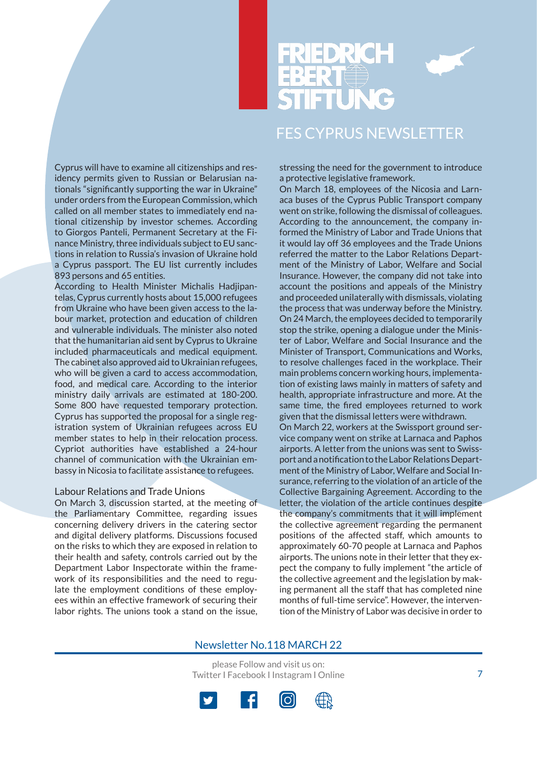

Cyprus will have to examine all citizenships and residency permits given to Russian or Belarusian nationals "significantly supporting the war in Ukraine" under orders from the European Commission, which called on all member states to immediately end national citizenship by investor schemes. According to Giorgos Panteli, Permanent Secretary at the Finance Ministry, three individuals subject to EU sanctions in relation to Russia's invasion of Ukraine hold a Cyprus passport. The EU list currently includes 893 persons and 65 entities.

According to Health Minister Michalis Hadjipantelas, Cyprus currently hosts about 15,000 refugees from Ukraine who have been given access to the labour market, protection and education of children and vulnerable individuals. The minister also noted that the humanitarian aid sent by Cyprus to Ukraine included pharmaceuticals and medical equipment. The cabinet also approved aid to Ukrainian refugees, who will be given a card to access accommodation, food, and medical care. According to the interior ministry daily arrivals are estimated at 180-200. Some 800 have requested temporary protection. Cyprus has supported the proposal for a single registration system of Ukrainian refugees across EU member states to help in their relocation process. Cypriot authorities have established a 24-hour channel of communication with the Ukrainian embassy in Nicosia to facilitate assistance to refugees.

### Labour Relations and Trade Unions

On March 3, discussion started, at the meeting of the Parliamentary Committee, regarding issues concerning delivery drivers in the catering sector and digital delivery platforms. Discussions focused on the risks to which they are exposed in relation to their health and safety, controls carried out by the Department Labor Inspectorate within the framework of its responsibilities and the need to regulate the employment conditions of these employees within an effective framework of securing their labor rights. The unions took a stand on the issue, stressing the need for the government to introduce a protective legislative framework.

On March 18, employees of the Nicosia and Larnaca buses of the Cyprus Public Transport company went on strike, following the dismissal of colleagues. According to the announcement, the company informed the Ministry of Labor and Trade Unions that it would lay off 36 employees and the Trade Unions referred the matter to the Labor Relations Department of the Ministry of Labor, Welfare and Social Insurance. However, the company did not take into account the positions and appeals of the Ministry and proceeded unilaterally with dismissals, violating the process that was underway before the Ministry. On 24 March, the employees decided to temporarily stop the strike, opening a dialogue under the Minister of Labor, Welfare and Social Insurance and the Minister of Transport, Communications and Works, to resolve challenges faced in the workplace. Their main problems concern working hours, implementation of existing laws mainly in matters of safety and health, appropriate infrastructure and more. At the same time, the fired employees returned to work given that the dismissal letters were withdrawn. On March 22, workers at the Swissport ground service company went on strike at Larnaca and Paphos airports. A letter from the unions was sent to Swissport and a notification to the Labor Relations Department of the Ministry of Labor, Welfare and Social Insurance, referring to the violation of an article of the Collective Bargaining Agreement. According to the letter, the violation of the article continues despite the company's commitments that it will implement the collective agreement regarding the permanent positions of the affected staff, which amounts to approximately 60-70 people at Larnaca and Paphos airports. The unions note in their letter that they expect the company to fully implement "the article of

the collective agreement and the legislation by making permanent all the staff that has completed nine months of full-time service". However, the intervention of the Ministry of Labor was decisive in order to

### Newsletter No.118 MARCH 22

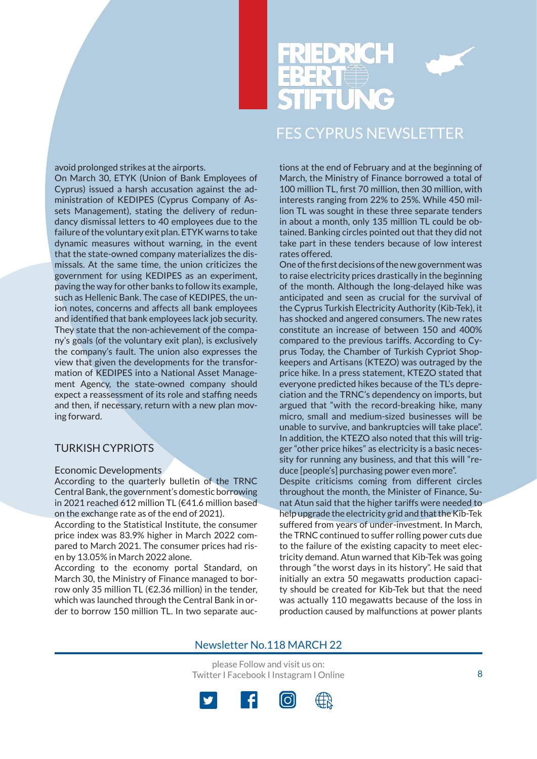



### avoid prolonged strikes at the airports.

On March 30, ETYK (Union of Bank Employees of Cyprus) issued a harsh accusation against the administration of KEDIPES (Cyprus Company of Assets Management), stating the delivery of redundancy dismissal letters to 40 employees due to the failure of the voluntary exit plan. ETYK warns to take dynamic measures without warning, in the event that the state-owned company materializes the dismissals. At the same time, the union criticizes the government for using KEDIPES as an experiment, paving the way for other banks to follow its example, such as Hellenic Bank. The case of KEDIPES, the union notes, concerns and affects all bank employees and identified that bank employees lack job security. They state that the non-achievement of the company's goals (of the voluntary exit plan), is exclusively the company's fault. The union also expresses the view that given the developments for the transformation of KEDIPES into a National Asset Management Agency, the state-owned company should expect a reassessment of its role and staffing needs and then, if necessary, return with a new plan moving forward.

## TURKISH CYPRIOTS

### Economic Developments

According to the quarterly bulletin of the TRNC Central Bank, the government's domestic borrowing in 2021 reached 612 million TL (€41.6 million based on the exchange rate as of the end of 2021).

According to the Statistical Institute, the consumer price index was 83.9% higher in March 2022 compared to March 2021. The consumer prices had risen by 13.05% in March 2022 alone.

According to the economy portal Standard, on March 30, the Ministry of Finance managed to borrow only 35 million TL (€2.36 million) in the tender, which was launched through the Central Bank in order to borrow 150 million TL. In two separate auctions at the end of February and at the beginning of March, the Ministry of Finance borrowed a total of 100 million TL, first 70 million, then 30 million, with interests ranging from 22% to 25%. While 450 million TL was sought in these three separate tenders in about a month, only 135 million TL could be obtained. Banking circles pointed out that they did not take part in these tenders because of low interest rates offered.

One of the first decisions of the new government was to raise electricity prices drastically in the beginning of the month. Although the long-delayed hike was anticipated and seen as crucial for the survival of the Cyprus Turkish Electricity Authority (Kib-Tek), it has shocked and angered consumers. The new rates constitute an increase of between 150 and 400% compared to the previous tariffs. According to Cyprus Today, the Chamber of Turkish Cypriot Shopkeepers and Artisans (KTEZO) was outraged by the price hike. In a press statement, KTEZO stated that everyone predicted hikes because of the TL's depreciation and the TRNC's dependency on imports, but argued that "with the record-breaking hike, many micro, small and medium-sized businesses will be unable to survive, and bankruptcies will take place". In addition, the KTEZO also noted that this will trigger "other price hikes" as electricity is a basic necessity for running any business, and that this will "reduce [people's] purchasing power even more".

Despite criticisms coming from different circles throughout the month, the Minister of Finance, Sunat Atun said that the higher tariffs were needed to help upgrade the electricity grid and that the Kib-Tek suffered from years of under-investment. In March, the TRNC continued to suffer rolling power cuts due to the failure of the existing capacity to meet electricity demand. Atun warned that Kib-Tek was going through "the worst days in its history". He said that initially an extra 50 megawatts production capacity should be created for Kib-Tek but that the need was actually 110 megawatts because of the loss in production caused by malfunctions at power plants

## Newsletter No.118 MARCH 22

please Follow and visit us on: Twitter I Facebook I Instagram I Online



8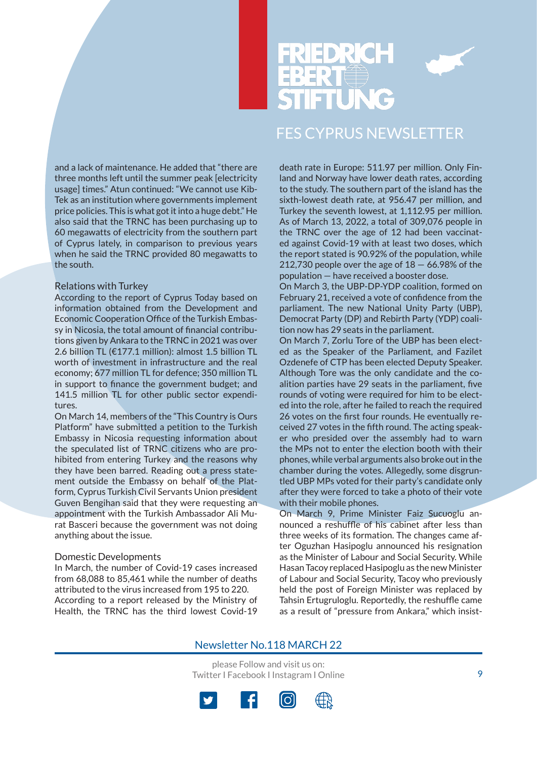

and a lack of maintenance. He added that "there are three months left until the summer peak [electricity usage] times." Atun continued: "We cannot use Kib-Tek as an institution where governments implement price policies. This is what got it into a huge debt." He also said that the TRNC has been purchasing up to 60 megawatts of electricity from the southern part of Cyprus lately, in comparison to previous years when he said the TRNC provided 80 megawatts to the south.

### Relations with Turkey

According to the report of Cyprus Today based on information obtained from the Development and Economic Cooperation Office of the Turkish Embassy in Nicosia, the total amount of financial contributions given by Ankara to the TRNC in 2021 was over 2.6 billion TL (€177.1 million): almost 1.5 billion TL worth of investment in infrastructure and the real economy; 677 million TL for defence; 350 million TL in support to finance the government budget; and 141.5 million TL for other public sector expenditures.

On March 14, members of the "This Country is Ours Platform" have submitted a petition to the Turkish Embassy in Nicosia requesting information about the speculated list of TRNC citizens who are prohibited from entering Turkey and the reasons why they have been barred. Reading out a press statement outside the Embassy on behalf of the Platform, Cyprus Turkish Civil Servants Union president Guven Bengihan said that they were requesting an appointment with the Turkish Ambassador Ali Murat Basceri because the government was not doing anything about the issue.

### Domestic Developments

In March, the number of Covid-19 cases increased from 68,088 to 85,461 while the number of deaths attributed to the virus increased from 195 to 220. According to a report released by the Ministry of Health, the TRNC has the third lowest Covid-19 death rate in Europe: 511.97 per million. Only Finland and Norway have lower death rates, according to the study. The southern part of the island has the sixth-lowest death rate, at 956.47 per million, and Turkey the seventh lowest, at 1,112.95 per million. As of March 13, 2022, a total of 309,076 people in the TRNC over the age of 12 had been vaccinated against Covid-19 with at least two doses, which the report stated is 90.92% of the population, while 212,730 people over the age of  $18 - 66.98\%$  of the population — have received a booster dose.

On March 3, the UBP-DP-YDP coalition, formed on February 21, received a vote of confidence from the parliament. The new National Unity Party (UBP), Democrat Party (DP) and Rebirth Party (YDP) coalition now has 29 seats in the parliament.

On March 7, Zorlu Tore of the UBP has been elected as the Speaker of the Parliament, and Fazilet Ozdenefe of CTP has been elected Deputy Speaker. Although Tore was the only candidate and the coalition parties have 29 seats in the parliament, five rounds of voting were required for him to be elected into the role, after he failed to reach the required 26 votes on the first four rounds. He eventually received 27 votes in the fifth round. The acting speaker who presided over the assembly had to warn the MPs not to enter the election booth with their phones, while verbal arguments also broke out in the chamber during the votes. Allegedly, some disgruntled UBP MPs voted for their party's candidate only after they were forced to take a photo of their vote with their mobile phones.

On March 9, Prime Minister Faiz Sucuoglu announced a reshuffle of his cabinet after less than three weeks of its formation. The changes came after Oguzhan Hasipoglu announced his resignation as the Minister of Labour and Social Security. While Hasan Tacoy replaced Hasipoglu as the new Minister of Labour and Social Security, Tacoy who previously held the post of Foreign Minister was replaced by Tahsin Ertugruloglu. Reportedly, the reshuffle came as a result of "pressure from Ankara," which insist-

## Newsletter No.118 MARCH 22

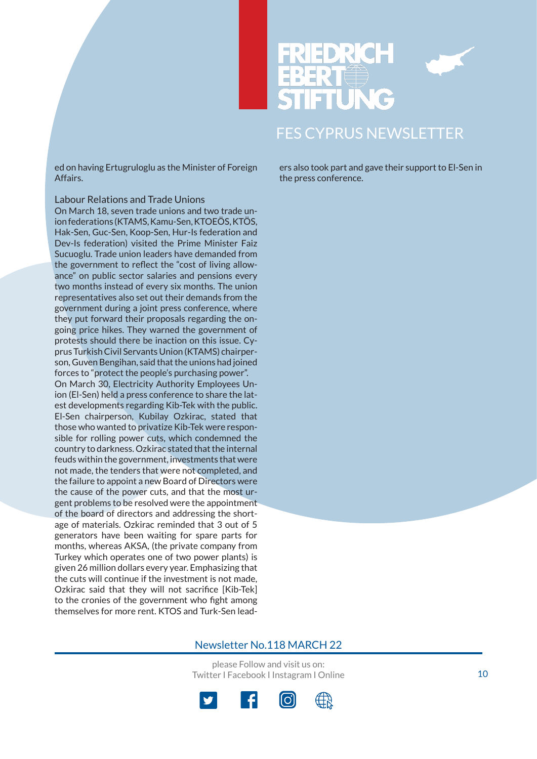



ed on having Ertugruloglu as the Minister of Foreign Affairs.

### Labour Relations and Trade Unions

On March 18, seven trade unions and two trade union federations (KTAMS, Kamu-Sen, KTOEÖS, KTÖS, Hak-Sen, Guc-Sen, Koop-Sen, Hur-Is federation and Dev-Is federation) visited the Prime Minister Faiz Sucuoglu. Trade union leaders have demanded from the government to reflect the "cost of living allowance" on public sector salaries and pensions every two months instead of every six months. The union representatives also set out their demands from the government during a joint press conference, where they put forward their proposals regarding the ongoing price hikes. They warned the government of protests should there be inaction on this issue. Cyprus Turkish Civil Servants Union (KTAMS) chairperson, Guven Bengihan, said that the unions had joined forces to "protect the people's purchasing power". On March 30, Electricity Authority Employees Union (El-Sen) held a press conference to share the latest developments regarding Kib-Tek with the public. El-Sen chairperson, Kubilay Ozkirac, stated that those who wanted to privatize Kib-Tek were responsible for rolling power cuts, which condemned the country to darkness. Ozkirac stated that the internal feuds within the government, investments that were not made, the tenders that were not completed, and the failure to appoint a new Board of Directors were the cause of the power cuts, and that the most urgent problems to be resolved were the appointment of the board of directors and addressing the shortage of materials. Ozkirac reminded that 3 out of 5 generators have been waiting for spare parts for months, whereas AKSA, (the private company from Turkey which operates one of two power plants) is given 26 million dollars every year. Emphasizing that the cuts will continue if the investment is not made, Ozkirac said that they will not sacrifice [Kib-Tek] to the cronies of the government who fight among themselves for more rent. KTOS and Turk-Sen leaders also took part and gave their support to El-Sen in the press conference.

### Newsletter No.118 MARCH 22